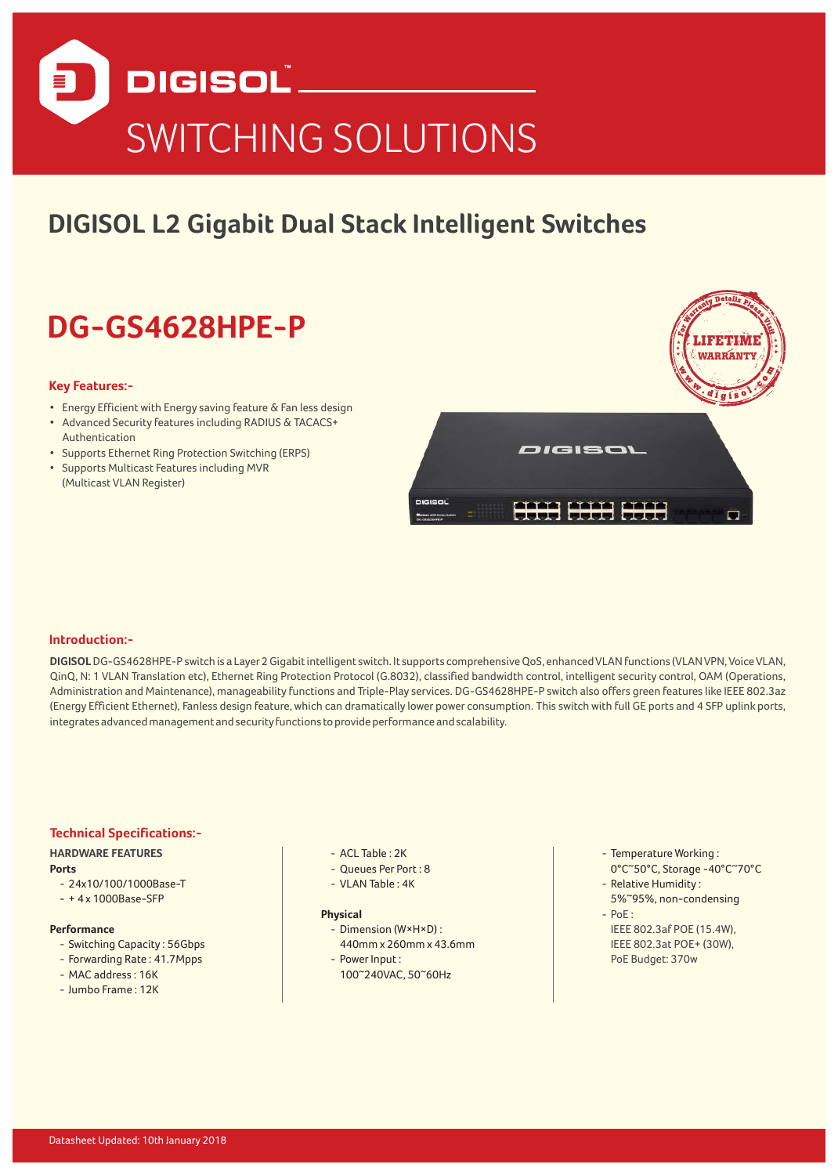

# **DIGISOL L2 Gigabit Dual Stack Intelligent Switches**

# **DG-GS4628HPE-P**

#### **Key Features:-**

- Energy Efficient with Energy saving feature & Fan less design
- Advanced Security features including RADIUS & TACACS+ Authentication
- Supports Ethernet Ring Protection Switching (ERPS)
- Supports Multicast Features including MVR (Multicast VLAN Register)



## **Introduction:-**

**DIGISOL** DG-GS4628HPE-P switch is a Layer 2 Gigabit intelligent switch. It supports comprehensive QoS, enhanced VLAN functions (VLAN VPN, Voice VLAN, QinQ, N: 1 VLAN Translation etc), Ethernet Ring Protection Protocol (G.8032), classified bandwidth control, intelligent security control, OAM (Operations, Administration and Maintenance), manageability functions and Triple-Play services. DG-GS4628HPE-P switch also offers green features like IEEE 802.3az (Energy Efficient Ethernet), Fanless design feature, which can dramatically lower power consumption. This switch with full GE ports and 4 SFP uplink ports, integrates advanced management and security functions to provide performance and scalability.

# **Technical Specifications:-**

#### **HARDWARE FEATURES**

**Ports**

- 24x10/100/1000Base-T
- + 4 x 1000Base-SFP

#### **Performance**

- Switching Capacity: 56Gbps
- Forwarding Rate: 41.7Mpps
- $-MAC$  address : 16K
- $-$  lumbo Frame : 12K
- $-$  ACL Table : 2K
- Queues Per Port : 8
- $-$  VLAN Table :  $4K$

#### **Physical**

- Dimension (W×H×D) : 440mm x 260mm x 43.6mm
- Power Input:
- 100~240VAC, 50~60Hz
- Temperature Working: 0°C~50°C, Storage -40°C~70°C
- Relative Humidity:
- 5%~95%, non-condensing  $-$  PoF :
- IEEE 802.3af POE (15.4W), IEEE 802.3at POE+ (30W), PoE Budget: 370w